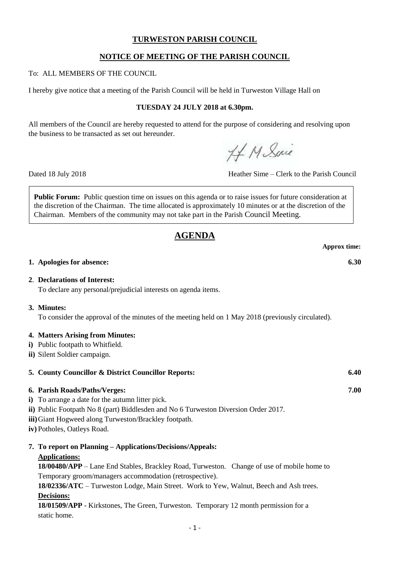### **TURWESTON PARISH COUNCIL**

# **NOTICE OF MEETING OF THE PARISH COUNCIL**

To: ALL MEMBERS OF THE COUNCIL

I hereby give notice that a meeting of the Parish Council will be held in Turweston Village Hall on

#### **TUESDAY 24 JULY 2018 at 6.30pm.**

All members of the Council are hereby requested to attend for the purpose of considering and resolving upon the business to be transacted as set out hereunder.

HM Suic

Dated 18 July 2018 Heather Sime – Clerk to the Parish Council

**Public Forum:** Public question time on issues on this agenda or to raise issues for future consideration at the discretion of the Chairman. The time allocated is approximately 10 minutes or at the discretion of the Chairman. Members of the community may not take part in the Parish Council Meeting.

# **AGENDA**

**Approx time:**

#### **1. Apologies for absence: 6.30**

#### **2**. **Declarations of Interest:**

To declare any personal/prejudicial interests on agenda items.

#### **3. Minutes:**

To consider the approval of the minutes of the meeting held on 1 May 2018 (previously circulated).

#### **4. Matters Arising from Minutes:**

- **i)** Public footpath to Whitfield.
- **ii)** Silent Soldier campaign.

# **5. County Councillor & District Councillor Reports: 6.40 6. Parish Roads/Paths/Verges: 7.00 i**) To arrange a date for the autumn litter pick.

- **ii)** Public Footpath No 8 (part) Biddlesden and No 6 Turweston Diversion Order 2017.
- **iii)**Giant Hogweed along Turweston/Brackley footpath.
- **iv)** Potholes, Oatleys Road.

# **7. To report on Planning – Applications/Decisions/Appeals:**

#### **Applications:**

**18/00480/APP** – Lane End Stables, Brackley Road, Turweston. Change of use of mobile home to Temporary groom/managers accommodation (retrospective).

**18/02336/ATC** – Turweston Lodge, Main Street. Work to Yew, Walnut, Beech and Ash trees. **Decisions:**

**18/01509/APP** - Kirkstones, The Green, Turweston. Temporary 12 month permission for a static home.